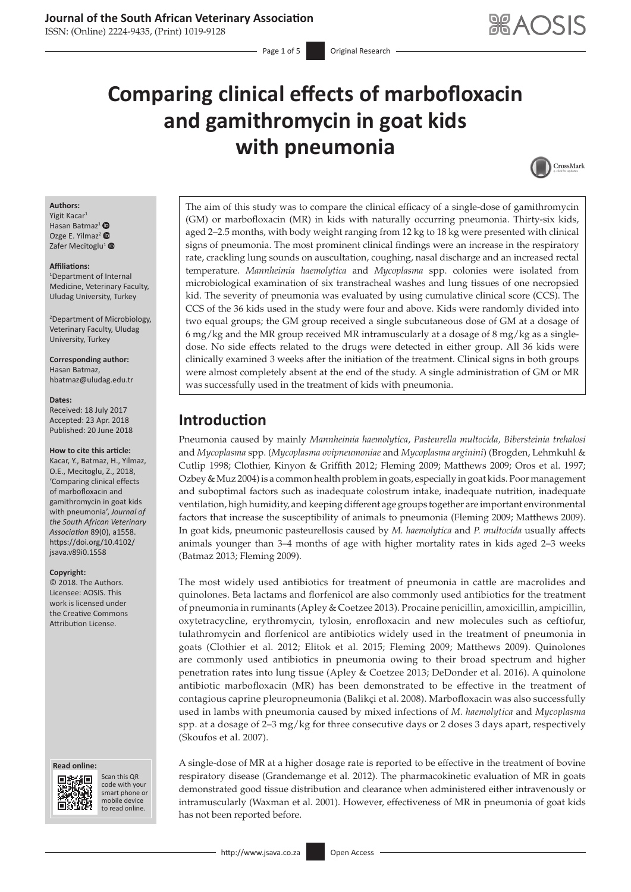ISSN: (Online) 2224-9435, (Print) 1019-9128

# **Comparing clinical effects of marbofloxacin and gamithromycin in goat kids with pneumonia**



### **Authors:**

Yigit Kacar<sup>1</sup> Hasan Batmaz<sup>[1](https://orcid.org/0000-0003-1991-8957)</sup> $\bullet$ Ozge E. Yilmaz<sup>[2](https://orcid.org/0000-0001-5063-4907)</sup> Zafer Mecitoglu<sup>[1](https://orcid.org/0000-0002-5557-121X)</sup>

#### **Affiliations:**

1 Department of Internal Medicine, Veterinary Faculty, Uludag University, Turkey

2 Department of Microbiology, Veterinary Faculty, Uludag University, Turkey

**Corresponding author:** Hasan Batmaz, [hbatmaz@uludag.edu.tr](mailto:hbatmaz@uludag.edu.tr)

#### **Dates:**

Received: 18 July 2017 Accepted: 23 Apr. 2018 Published: 20 June 2018

#### **How to cite this article:**

Kacar, Y., Batmaz, H., Yilmaz, O.E., Mecitoglu, Z., 2018, 'Comparing clinical effects of marbofloxacin and gamithromycin in goat kids with pneumonia', *Journal of the South African Veterinary Association* 89(0), a1558. [https://doi.org/10.4102/](https://doi.org/10.4102/jsava.v89i0.1558) [jsava.v89i0.1558](https://doi.org/10.4102/jsava.v89i0.1558)

### **Copyright:**

© 2018. The Authors. Licensee: AOSIS. This work is licensed under the Creative Commons Attribution License.

#### **Read online: Read**



Scan this QR code with your Scan this QR<br>code with your<br>smart phone or<br>mobile device mobile device to read online. to read online.

The aim of this study was to compare the clinical efficacy of a single-dose of gamithromycin (GM) or marbofloxacin (MR) in kids with naturally occurring pneumonia. Thirty-six kids, aged 2–2.5 months, with body weight ranging from 12 kg to 18 kg were presented with clinical signs of pneumonia. The most prominent clinical findings were an increase in the respiratory rate, crackling lung sounds on auscultation, coughing, nasal discharge and an increased rectal temperature. *Mannheimia haemolytica* and *Mycoplasma* spp. colonies were isolated from microbiological examination of six transtracheal washes and lung tissues of one necropsied kid. The severity of pneumonia was evaluated by using cumulative clinical score (CCS). The CCS of the 36 kids used in the study were four and above. Kids were randomly divided into two equal groups; the GM group received a single subcutaneous dose of GM at a dosage of 6 mg/kg and the MR group received MR intramuscularly at a dosage of 8 mg/kg as a singledose. No side effects related to the drugs were detected in either group. All 36 kids were clinically examined 3 weeks after the initiation of the treatment. Clinical signs in both groups were almost completely absent at the end of the study. A single administration of GM or MR was successfully used in the treatment of kids with pneumonia.

# **Introduction**

Pneumonia caused by mainly *Mannheimia haemolytica*, *Pasteurella multocida, Bibersteinia trehalosi* and *Mycoplasma* spp. (*Mycoplasma ovipneumoniae* and *Mycoplasma arginini*) (Brogden, Lehmkuhl & Cutlip 1998; Clothier, Kinyon & Griffith 2012; Fleming 2009; Matthews 2009; Oros et al. 1997; Ozbey & Muz 2004) is a common health problem in goats, especially in goat kids. Poor management and suboptimal factors such as inadequate colostrum intake, inadequate nutrition, inadequate ventilation, high humidity, and keeping different age groups together are important environmental factors that increase the susceptibility of animals to pneumonia (Fleming 2009; Matthews 2009). In goat kids, pneumonic pasteurellosis caused by *M. haemolytica* and *P. multocida* usually affects animals younger than 3–4 months of age with higher mortality rates in kids aged 2–3 weeks (Batmaz 2013; Fleming 2009).

The most widely used antibiotics for treatment of pneumonia in cattle are macrolides and quinolones. Beta lactams and florfenicol are also commonly used antibiotics for the treatment of pneumonia in ruminants (Apley & Coetzee 2013). Procaine penicillin, amoxicillin, ampicillin, oxytetracycline, erythromycin, tylosin, enrofloxacin and new molecules such as ceftiofur, tulathromycin and florfenicol are antibiotics widely used in the treatment of pneumonia in goats (Clothier et al. 2012; Elitok et al. 2015; Fleming 2009; Matthews 2009). Quinolones are commonly used antibiotics in pneumonia owing to their broad spectrum and higher penetration rates into lung tissue (Apley & Coetzee 2013; DeDonder et al. 2016). A quinolone antibiotic marbofloxacin (MR) has been demonstrated to be effective in the treatment of contagious caprine pleuropneumonia (Balikçi et al. 2008). Marbofloxacin was also successfully used in lambs with pneumonia caused by mixed infections of *M. haemolytica* and *Mycoplasma* spp. at a dosage of 2–3 mg/kg for three consecutive days or 2 doses 3 days apart, respectively (Skoufos et al. 2007).

A single-dose of MR at a higher dosage rate is reported to be effective in the treatment of bovine respiratory disease (Grandemange et al. 2012). The pharmacokinetic evaluation of MR in goats demonstrated good tissue distribution and clearance when administered either intravenously or intramuscularly (Waxman et al. 2001). However, effectiveness of MR in pneumonia of goat kids has not been reported before.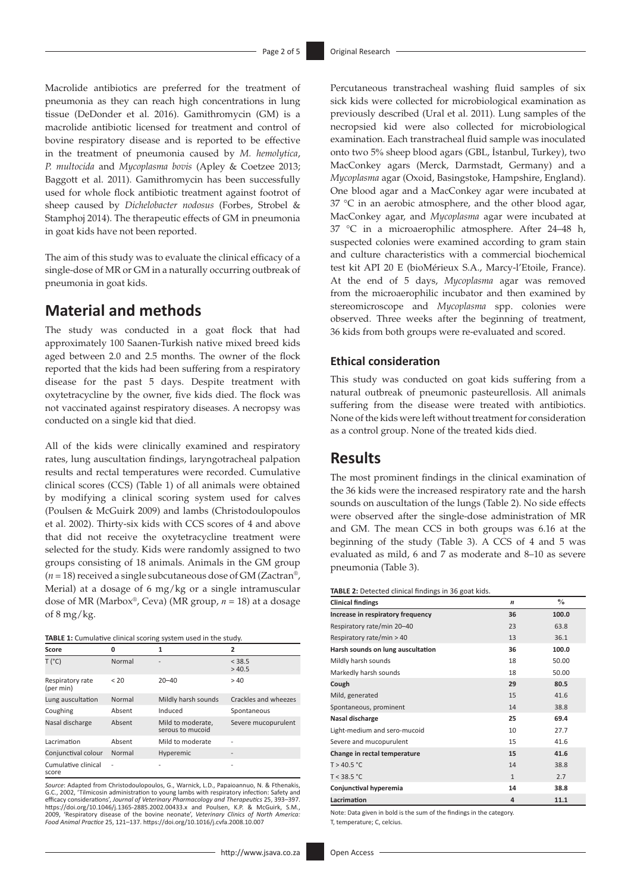Macrolide antibiotics are preferred for the treatment of pneumonia as they can reach high concentrations in lung tissue (DeDonder et al. 2016). Gamithromycin (GM) is a macrolide antibiotic licensed for treatment and control of bovine respiratory disease and is reported to be effective in the treatment of pneumonia caused by *M. hemolytica*, *P. multocida* and *Mycoplasma bovis* (Apley & Coetzee 2013; Baggott et al. 2011). Gamithromycin has been successfully used for whole flock antibiotic treatment against footrot of sheep caused by *Dichelobacter nodosus* (Forbes, Strobel & Stamphoj 2014). The therapeutic effects of GM in pneumonia in goat kids have not been reported.

The aim of this study was to evaluate the clinical efficacy of a single-dose of MR or GM in a naturally occurring outbreak of pneumonia in goat kids.

### **Material and methods**

The study was conducted in a goat flock that had approximately 100 Saanen-Turkish native mixed breed kids aged between 2.0 and 2.5 months. The owner of the flock reported that the kids had been suffering from a respiratory disease for the past 5 days. Despite treatment with oxytetracycline by the owner, five kids died. The flock was not vaccinated against respiratory diseases. A necropsy was conducted on a single kid that died.

All of the kids were clinically examined and respiratory rates, lung auscultation findings, laryngotracheal palpation results and rectal temperatures were recorded. Cumulative clinical scores (CCS) (Table 1) of all animals were obtained by modifying a clinical scoring system used for calves (Poulsen & McGuirk 2009) and lambs (Christodoulopoulos et al. 2002). Thirty-six kids with CCS scores of 4 and above that did not receive the oxytetracycline treatment were selected for the study. Kids were randomly assigned to two groups consisting of 18 animals. Animals in the GM group  $(n = 18)$  received a single subcutaneous dose of GM (Zactran<sup>®</sup>, Merial) at a dosage of 6 mg/kg or a single intramuscular dose of MR (Marbox®, Ceva) (MR group, *n* = 18) at a dosage of  $8 \text{ mg/kg}$ .

| TABLE 1: Cumulative clinical scoring system used in the study. |  |
|----------------------------------------------------------------|--|
|                                                                |  |

| Score                         | n      |                                       | 2                            |
|-------------------------------|--------|---------------------------------------|------------------------------|
| T (°C)                        | Normal |                                       | < 38.5<br>>40.5              |
| Respiratory rate<br>(per min) | < 20   | $20 - 40$                             | >40                          |
| Lung auscultation             | Normal | Mildly harsh sounds                   | Crackles and wheezes         |
| Coughing                      | Absent | Induced                               | Spontaneous                  |
| Nasal discharge               | Absent | Mild to moderate,<br>serous to mucoid | Severe mucopurulent          |
| Lacrimation                   | Absent | Mild to moderate                      |                              |
| Conjunctival colour           | Normal | Hyperemic                             | $\qquad \qquad \blacksquare$ |
| Cumulative clinical<br>score  | Ĭ.     |                                       |                              |

*Source*: Adapted from Christodoulopoulos, G., Warnick, L.D., Papaioannuo, N. & Fthenakis, G.C., 2002, 'Tilmicosin administration to young lambs with respiratory infection: Safety and<br>efficacy considerations', J*ournal of Veterinary Pharmacology and Therapeut*ics 25, 393–397.<br>https://doi.org/10.1046/j.1365-2885. 2009, 'Respiratory disease of the bovine neonate', *Veterinary Clinics of North America: Food Animal Practice* 25, 121–137.<https://doi.org/10.1016/j.cvfa.2008.10.007> Percutaneous transtracheal washing fluid samples of six sick kids were collected for microbiological examination as previously described (Ural et al. 2011). Lung samples of the necropsied kid were also collected for microbiological examination. Each transtracheal fluid sample was inoculated onto two 5% sheep blood agars (GBL, İstanbul, Turkey), two MacConkey agars (Merck, Darmstadt, Germany) and a *Mycoplasma* agar (Oxoid, Basingstoke, Hampshire, England). One blood agar and a MacConkey agar were incubated at 37 °C in an aerobic atmosphere, and the other blood agar, MacConkey agar, and *Mycoplasma* agar were incubated at 37 °C in a microaerophilic atmosphere. After 24–48 h, suspected colonies were examined according to gram stain and culture characteristics with a commercial biochemical test kit API 20 E (bioMérieux S.A., Marcy-l'Etoile, France). At the end of 5 days, *Mycoplasma* agar was removed from the microaerophilic incubator and then examined by stereomicroscope and *Mycoplasma* spp. colonies were observed. Three weeks after the beginning of treatment, 36 kids from both groups were re-evaluated and scored.

### **Ethical consideration**

This study was conducted on goat kids suffering from a natural outbreak of pneumonic pasteurellosis. All animals suffering from the disease were treated with antibiotics. None of the kids were left without treatment for consideration as a control group. None of the treated kids died.

### **Results**

The most prominent findings in the clinical examination of the 36 kids were the increased respiratory rate and the harsh sounds on auscultation of the lungs (Table 2). No side effects were observed after the single-dose administration of MR and GM. The mean CCS in both groups was 6.16 at the beginning of the study (Table 3). A CCS of 4 and 5 was evaluated as mild, 6 and 7 as moderate and 8–10 as severe pneumonia (Table 3).

| TABLE 2: Detected clinical findings in 36 goat kids. |  |  |  |  |  |
|------------------------------------------------------|--|--|--|--|--|
|------------------------------------------------------|--|--|--|--|--|

| <b>Clinical findings</b>          | $\boldsymbol{n}$ | $\frac{0}{0}$ |
|-----------------------------------|------------------|---------------|
| Increase in respiratory frequency | 36               | 100.0         |
| Respiratory rate/min 20-40        | 23               | 63.8          |
| Respiratory rate/min > 40         | 13               | 36.1          |
| Harsh sounds on lung auscultation | 36               | 100.0         |
| Mildly harsh sounds               | 18               | 50.00         |
| Markedly harsh sounds             | 18               | 50.00         |
| Cough                             | 29               | 80.5          |
| Mild, generated                   | 15               | 41.6          |
| Spontaneous, prominent            | 14               | 38.8          |
| Nasal discharge                   | 25               | 69.4          |
| Light-medium and sero-mucoid      | 10               | 27.7          |
| Severe and mucopurulent           | 15               | 41.6          |
| Change in rectal temperature      | 15               | 41.6          |
| T > 40.5 °C                       | 14               | 38.8          |
| T < 38.5 °C                       | $\mathbf{1}$     | 2.7           |
| Conjunctival hyperemia            | 14               | 38.8          |
| Lacrimation                       | 4                | 11.1          |

Note: Data given in bold is the sum of the findings in the category. T, temperature; C, celcius.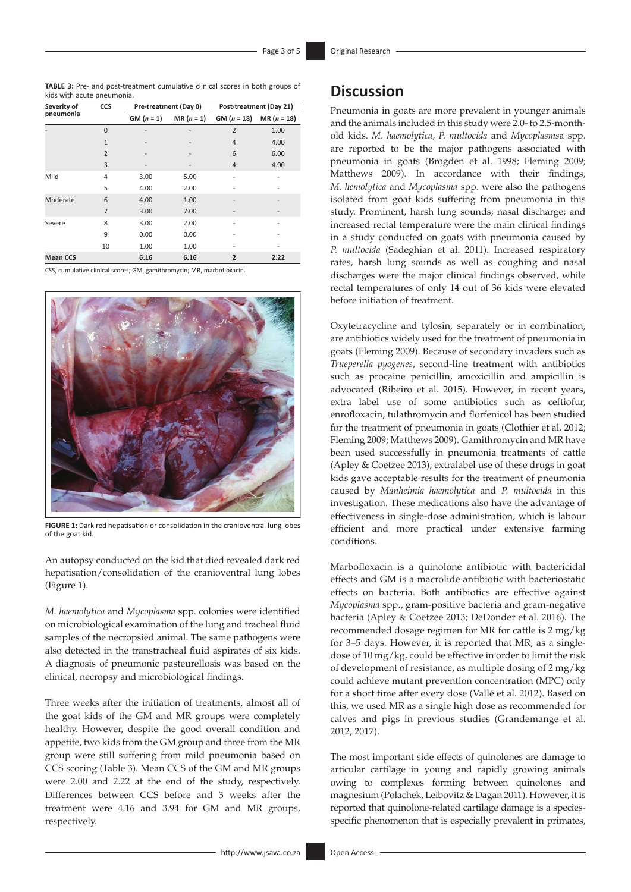**TABLE 3:** Pre- and post-treatment cumulative clinical scores in both groups of kids with acute pneumonia.

| Severity of     | CCS            |              | Pre-treatment (Day 0) |                | Post-treatment (Day 21) |  |
|-----------------|----------------|--------------|-----------------------|----------------|-------------------------|--|
| pneumonia       |                | $GM (n = 1)$ | $MR(n = 1)$           | $GM (n = 18)$  | $MR (n = 18)$           |  |
|                 | $\Omega$       |              |                       | $\overline{2}$ | 1.00                    |  |
|                 | $\mathbf{1}$   |              |                       | 4              | 4.00                    |  |
|                 | $\overline{2}$ |              |                       | 6              | 6.00                    |  |
|                 | 3              |              | $\overline{a}$        | $\overline{4}$ | 4.00                    |  |
| Mild            | 4              | 3.00         | 5.00                  |                |                         |  |
|                 | 5              | 4.00         | 2.00                  |                |                         |  |
| Moderate        | 6              | 4.00         | 1.00                  |                |                         |  |
|                 | $\overline{7}$ | 3.00         | 7.00                  | $\overline{a}$ |                         |  |
| Severe          | 8              | 3.00         | 2.00                  |                |                         |  |
|                 | 9              | 0.00         | 0.00                  |                |                         |  |
|                 | 10             | 1.00         | 1.00                  |                |                         |  |
| <b>Mean CCS</b> |                | 6.16         | 6.16                  | $\overline{2}$ | 2.22                    |  |

CSS, cumulative clinical scores; GM, gamithromycin; MR, marbofloxacin.



**FIGURE 1:** Dark red hepatisation or consolidation in the cranioventral lung lobes of the goat kid.

An autopsy conducted on the kid that died revealed dark red hepatisation/consolidation of the cranioventral lung lobes (Figure 1).

*M. haemolytica* and *Mycoplasma* spp. colonies were identified on microbiological examination of the lung and tracheal fluid samples of the necropsied animal. The same pathogens were also detected in the transtracheal fluid aspirates of six kids. A diagnosis of pneumonic pasteurellosis was based on the clinical, necropsy and microbiological findings.

Three weeks after the initiation of treatments, almost all of the goat kids of the GM and MR groups were completely healthy. However, despite the good overall condition and appetite, two kids from the GM group and three from the MR group were still suffering from mild pneumonia based on CCS scoring (Table 3). Mean CCS of the GM and MR groups were 2.00 and 2.22 at the end of the study, respectively. Differences between CCS before and 3 weeks after the treatment were 4.16 and 3.94 for GM and MR groups, respectively.

# **Discussion**

Pneumonia in goats are more prevalent in younger animals and the animals included in this study were 2.0- to 2.5-monthold kids. *M. haemolytica*, *P. multocida* and *Mycoplasms*a spp. are reported to be the major pathogens associated with pneumonia in goats (Brogden et al. 1998; Fleming 2009; Matthews 2009). In accordance with their findings, *M. hemolytica* and *Mycoplasma* spp. were also the pathogens isolated from goat kids suffering from pneumonia in this study. Prominent, harsh lung sounds; nasal discharge; and increased rectal temperature were the main clinical findings in a study conducted on goats with pneumonia caused by *P. multocida* (Sadeghian et al. 2011). Increased respiratory rates, harsh lung sounds as well as coughing and nasal discharges were the major clinical findings observed, while rectal temperatures of only 14 out of 36 kids were elevated before initiation of treatment.

Oxytetracycline and tylosin, separately or in combination, are antibiotics widely used for the treatment of pneumonia in goats (Fleming 2009). Because of secondary invaders such as *Trueperella pyogenes*, second-line treatment with antibiotics such as procaine penicillin, amoxicillin and ampicillin is advocated (Ribeiro et al. 2015). However, in recent years, extra label use of some antibiotics such as ceftiofur, enrofloxacin, tulathromycin and florfenicol has been studied for the treatment of pneumonia in goats (Clothier et al. 2012; Fleming 2009; Matthews 2009). Gamithromycin and MR have been used successfully in pneumonia treatments of cattle (Apley & Coetzee 2013); extralabel use of these drugs in goat kids gave acceptable results for the treatment of pneumonia caused by *Manheimia haemolytica* and *P. multocida* in this investigation. These medications also have the advantage of effectiveness in single-dose administration, which is labour efficient and more practical under extensive farming conditions.

Marbofloxacin is a quinolone antibiotic with bactericidal effects and GM is a macrolide antibiotic with bacteriostatic effects on bacteria. Both antibiotics are effective against *Mycoplasma* spp., gram-positive bacteria and gram-negative bacteria (Apley & Coetzee 2013; DeDonder et al. 2016). The recommended dosage regimen for MR for cattle is 2 mg/kg for 3–5 days. However, it is reported that MR, as a singledose of 10 mg/kg, could be effective in order to limit the risk of development of resistance, as multiple dosing of 2 mg/kg could achieve mutant prevention concentration (MPC) only for a short time after every dose (Vallé et al. 2012). Based on this, we used MR as a single high dose as recommended for calves and pigs in previous studies (Grandemange et al. 2012, 2017).

The most important side effects of quinolones are damage to articular cartilage in young and rapidly growing animals owing to complexes forming between quinolones and magnesium (Polachek, Leibovitz & Dagan 2011). However, it is reported that quinolone-related cartilage damage is a speciesspecific phenomenon that is especially prevalent in primates,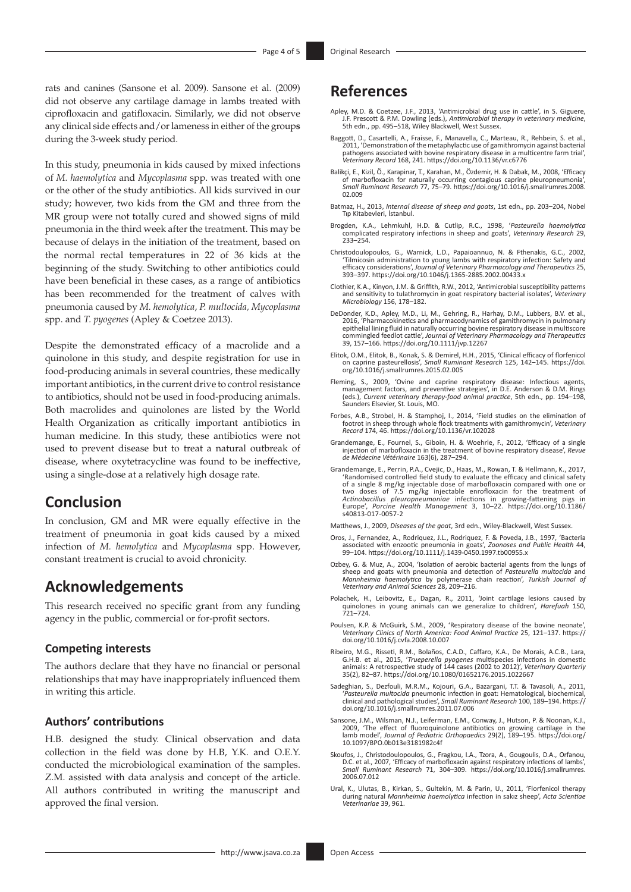rats and canines (Sansone et al. 2009). Sansone et al. (2009) did not observe any cartilage damage in lambs treated with ciprofloxacin and gatifloxacin. Similarly, we did not observe any clinical side effects and/or lameness in either of the group**s** during the 3-week study period.

In this study, pneumonia in kids caused by mixed infections of *M. haemolytica* and *Mycoplasma* spp. was treated with one or the other of the study antibiotics. All kids survived in our study; however, two kids from the GM and three from the MR group were not totally cured and showed signs of mild pneumonia in the third week after the treatment. This may be because of delays in the initiation of the treatment, based on the normal rectal temperatures in 22 of 36 kids at the beginning of the study. Switching to other antibiotics could have been beneficial in these cases, as a range of antibiotics has been recommended for the treatment of calves with pneumonia caused by *M. hemolytica*, *P. multocida, Mycoplasma*  spp. and *T. pyogenes* (Apley & Coetzee 2013).

Despite the demonstrated efficacy of a macrolide and a quinolone in this study, and despite registration for use in food-producing animals in several countries, these medically important antibiotics, in the current drive to control resistance to antibiotics, should not be used in food-producing animals. Both macrolides and quinolones are listed by the World Health Organization as critically important antibiotics in human medicine. In this study, these antibiotics were not used to prevent disease but to treat a natural outbreak of disease, where oxytetracycline was found to be ineffective, using a single-dose at a relatively high dosage rate.

# **Conclusion**

In conclusion, GM and MR were equally effective in the treatment of pneumonia in goat kids caused by a mixed infection of *M. hemolytica* and *Mycoplasma* spp. However, constant treatment is crucial to avoid chronicity.

### **Acknowledgements**

This research received no specific grant from any funding agency in the public, commercial or for-profit sectors.

### **Competing interests**

The authors declare that they have no financial or personal relationships that may have inappropriately influenced them in writing this article.

### **Authors' contributions**

H.B. designed the study. Clinical observation and data collection in the field was done by H.B, Y.K. and O.E.Y. conducted the microbiological examination of the samples. Z.M. assisted with data analysis and concept of the article. All authors contributed in writing the manuscript and approved the final version.

## **References**

- Apley, M.D. & Coetzee, J.F., 2013, 'Antimicrobial drug use in cattle', in S. Giguere, J.F. Prescott & P.M. Dowling (eds.), *Antimicrobial therapy in veterinary medicine*, 5th edn., pp. 495–518, Wiley Blackwell, West Sussex.
- Baggott, D., Casartelli, A., Fraisse, F., Manavella, C., Marteau, R., Rehbein, S. et al., 2011, 'Demonstration of the metaphylactic use of gamithromycin against bacterial pathogens associated with bovine respiratory disease in a multicentre farm trial', *Veterinary Record* 168, 241.<https://doi.org/10.1136/vr.c6776>
- Balikçi, E., Kizil, Ö., Karapinar, T., Karahan, M., Özdemir, H. & Dabak, M., 2008, 'Efficacy of marbofloxacin for naturally occurring contagious caprine pleuropneumonia', *Small Ruminant Research* 77, 75–79. [https://doi.org/10.1016/j.smallrumres.2008.](https://doi.org/10.1016/j.smallrumres.2008.02.009) [02.009](https://doi.org/10.1016/j.smallrumres.2008.02.009)
- Batmaz, H., 2013, *Internal disease of sheep and goats*, 1st edn., pp. 203–204, Nobel Tıp Kitabevleri, İstanbul.
- Brogden, K.A., Lehmkuhl, H.D. & Cutlip, R.C., 1998, '*Pasteurella haemolytica* complicated respiratory infections in sheep and goats', *Veterinary Research* 29, 233–254.
- Christodoulopoulos, G., Warnick, L.D., Papaioannuo, N. & Fthenakis, G.C., 2002, 'Tilmicosin administration to young lambs with respiratory infection: Safety and efficacy considerations', *Journal of Veterinary Pharmacology and Therapeutics* 25, 393–397.<https://doi.org/10.1046/j.1365-2885.2002.00433.x>
- Clothier, K.A., Kinyon, J.M. & Griffith, R.W., 2012, 'Antimicrobial susceptibility patterns and sensitivity to tulathromycin in goat respiratory bacterial isolates', *Veterinary Microbiology* 156, 178–182.
- DeDonder, K.D., Apley, M.D., Li, M., Gehring, R., Harhay, D.M., Lubbers, B.V. et al., 2016, 'Pharmacokinetics and pharmacodynamics of gamithromycin in pulmonary epithelial lining fluid in naturally occurring bovine respiratory disease in multiscore commingled feedlot cattle', *Journal of Veterinary Pharmacology and Therapeutics* 39, 157–166. <https://doi.org/10.1111/jvp.12267>
- Elitok, O.M., Elitok, B., Konak, S. & Demirel, H.H., 2015, 'Clinical efficacy of florfenicol on caprine pasteurellosis', *Small Ruminant Research* 125, 142–145. [https://doi.](https://doi.org/10.1016/j.smallrumres.2015.02.005) [org/10.1016/j.smallrumres.2015.02.005](https://doi.org/10.1016/j.smallrumres.2015.02.005)
- Fleming, S., 2009, 'Ovine and caprine respiratory disease: Infectious agents,<br>management factors, and preventive strategies', in D.E. Anderson & D.M. Rings<br>(eds.), Current veterinary therapy-food animal practice, 5th edn., Saunders Elsevier, St. Louis, MO.
- Forbes, A.B., Strobel, H. & Stamphoj, I., 2014, 'Field studies on the elimination of footrot in sheep through whole flock treatments with gamithromycin', Veterinary<br>Record 174, 46. <https://doi.org/10.1136/vr.102028>
- Grandemange, E., Fournel, S., Giboin, H. & Woehrle, F., 2012, 'Efficacy of a single injection of marbofloxacin in the treatment of bovine respiratory disease', *Revue de Médecine Vétérinaire* 163(6), 287–294.
- Grandemange, E., Perrin, P.A., Cvejic, D., Haas, M., Rowan, T. & Hellmann, K., 2017, 'Randomised controlled field study to evaluate the efficacy and clinical safety of a single 8 mg/kg injectable dose of marbofloxacin compared with one or<br>two doses of 7.5 mg/kg injectable enrofloxacin for the treatment of<br>Actinobacillus pleuropneumoniae infections in growing-fattening pigs in<br>Europe', [s40813-017-0057-2](https://doi.org/10.1186/s40813-017-0057-2)

Matthews, J., 2009, *Diseases of the goat*, 3rd edn., Wiley-Blackwell, West Sussex.

- Oros, J., Fernandez, A., Rodriquez, J.L., Rodriquez, F. & Poveda, J.B., 1997, 'Bacteria associated with enzootic pneumonia in goats', *Zoonoses and Public Health* 44, 99–104. <https://doi.org/10.1111/j.1439-0450.1997.tb00955.x>
- Ozbey, G. & Muz, A., 2004, 'Isolation of aerobic bacterial agents from the lungs of sheep and goats with pneumonia and detection of *Pasteurella multocida* and *Mannheimia haemolytica* by polymerase chain reaction', *Turkish Journal of Veterinary and Animal Sciences* 28, 209–216.
- Polachek, H., Leibovitz, E., Dagan, R., 2011, 'Joint cartilage lesions caused by quinolones in young animals can we generalize to children', *Harefuah* 150, 721–724.
- Poulsen, K.P. & McGuirk, S.M., 2009, 'Respiratory disease of the bovine neonate', *Veterinary Clinics of North America: Food Animal Practice* 25, 121–137. [https://](https://doi.org/10.1016/j.cvfa.2008.10.007) [doi.org/10.1016/j.cvfa.2008.10.007](https://doi.org/10.1016/j.cvfa.2008.10.007)
- Ribeiro, M.G., Risseti, R.M., Bolaños, C.A.D., Caffaro, K.A., De Morais, A.C.B., Lara, G.H.B. et al., 2015, '*Trueperella pyogenes* multispecies infections in domestic animals: A retrospective study of 144 cases (2002 to 2012)', *Veterinary Quarterly* 35(2), 82–87.<https://doi.org/10.1080/01652176.2015.1022667>
- Sadeghian, S., Dezfouli, M.R.M., Kojouri, G.A., Bazargani, T.T. & Tavasoli, A., 2011, '*Pasteurella multocida* pneumonic infection in goat: Hematological, biochemical, clinical and pathological studies', *Small Ruminant Research* 100, 189–194. [https://](https://doi.org/10.1016/j.smallrumres.2011.07.006) [doi.org/10.1016/j.smallrumres.2011.07.006](https://doi.org/10.1016/j.smallrumres.2011.07.006)
- Sansone, J.M., Wilsman, N.J., Leiferman, E.M., Conway, J., Hutson, P. & Noonan, K.J., 2009, 'The effect of fluoroquinolone antibiotics on growing cartilage in the lamb model', *Journal of Pediatric Orthopaedics* 29(2), 189–195. [https://doi.org/](https://doi.org/10.1097/BPO.0b013e3181982c4f) [10.1097/BPO.0b013e3181982c4f](https://doi.org/10.1097/BPO.0b013e3181982c4f)
- Skoufos, J., Christodoulopoulos, G., Fragkou, I.A., Tzora, A., Gougoulis, D.A., Orfanou, D.C. et al., 2007, 'Efficacy of marbofloxacin against respiratory infections of lambs', *Small Ruminant Research* 71, 304–309. [https://doi.org/10.1016/j.smallrumres.](https://doi.org/10.1016/j.smallrumres.2006.07.012) [2006.07.012](https://doi.org/10.1016/j.smallrumres.2006.07.012)
- Ural, K., Ulutas, B., Kirkan, S., Gultekin, M. & Parin, U., 2011, 'Florfenicol therapy during natural *Mannheimia haemolytica* infection in sakız sheep', *Acta Scientiae Veterinariae* 39, 961.